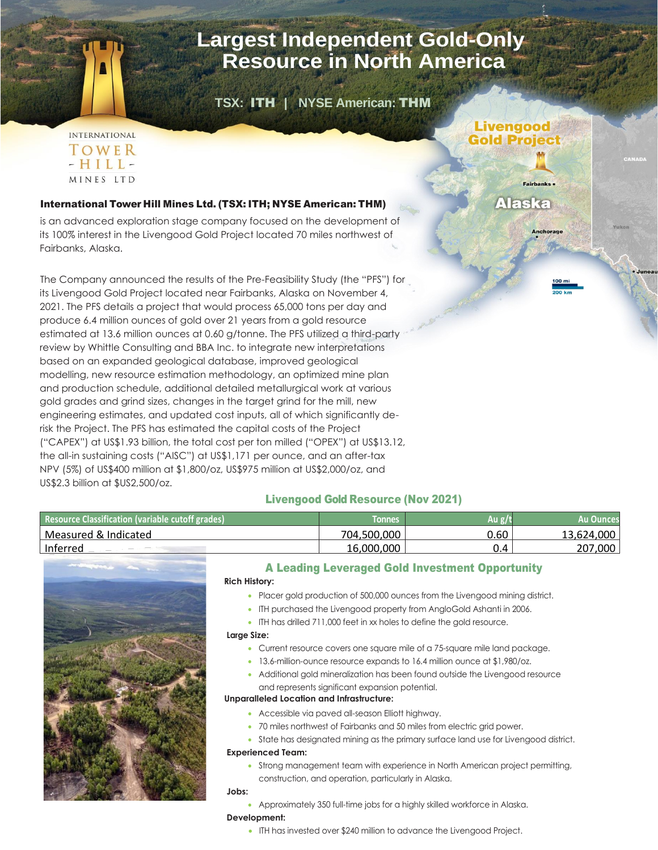## **Largest Independent Gold-Only Resource in North America**

**Livengood** 

**Gold Project** 

**Alaska** 

 **TSX:** ITH **| NYSE American:** THM

## **INTERNATIONAL** TOWER  $-HILL-$ MINES LTD

## International Tower Hill Mines Ltd. (TSX: ITH; NYSE American: THM)

is an advanced exploration stage company focused on the development of its 100% interest in the Livengood Gold Project located 70 miles northwest of Fairbanks, Alaska.

The Company announced the results of the Pre-Feasibility Study (the "PFS") for its Livengood Gold Project located near Fairbanks, Alaska on November 4, 2021. The PFS details a project that would process 65,000 tons per day and produce 6.4 million ounces of gold over 21 years from a gold resource estimated at 13.6 million ounces at 0.60 g/tonne. The PFS utilized a third-party review by Whittle Consulting and BBA Inc. to integrate new interpretations based on an expanded geological database, improved geological modelling, new resource estimation methodology, an optimized mine plan and production schedule, additional detailed metallurgical work at various gold grades and grind sizes, changes in the target grind for the mill, new engineering estimates, and updated cost inputs, all of which significantly derisk the Project. The PFS has estimated the capital costs of the Project ("CAPEX") at US\$1.93 billion, the total cost per ton milled ("OPEX") at US\$13.12, the all-in sustaining costs ("AISC") at US\$1,171 per ounce, and an after-tax NPV (5%) of US\$400 million at \$1,800/oz, US\$975 million at US\$2,000/oz, and US\$2.3 billion at \$US2,500/oz.

## Livengood Gold Resource (Nov 2021)

| Resource Classification (variable cutoff grades) | <b>Tonnes</b> | Au : | Au Ounces  |
|--------------------------------------------------|---------------|------|------------|
| Measured & Indicated                             | 704,500,000   | 0.60 | 13,624,000 |
| Inferred                                         | 16,000,000    |      | 207,000    |



### A Leading Leveraged Gold Investment Opportunity **Rich History:**

- Placer gold production of 500,000 ounces from the Livengood mining district.
- ITH purchased the Livengood property from AngloGold Ashanti in 2006.
- ITH has drilled 711,000 feet in xx holes to define the gold resource.

#### **Large Size:**

- Current resource covers one square mile of a 75-square mile land package.
- 13.6-million-ounce resource expands to 16.4 million ounce at \$1,980/oz.
- Additional gold mineralization has been found outside the Livengood resource and represents significant expansion potential.

## **Unparalleled Location and Infrastructure:**

- Accessible via paved all-season Elliott highway.
- 70 miles northwest of Fairbanks and 50 miles from electric grid power.
- State has designated mining as the primary surface land use for Livengood district.

## **Experienced Team:**

• Strong management team with experience in North American project permitting, construction, and operation, particularly in Alaska.

## **Jobs:**

• Approximately 350 full-time jobs for a highly skilled workforce in Alaska.

#### **Development:**

• ITH has invested over \$240 million to advance the Livengood Project.